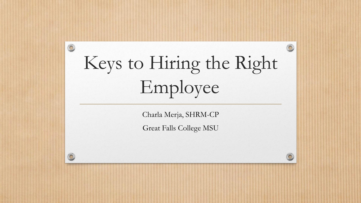# Keys to Hiring the Right Employee

 $\circledcirc$ 

 $\bigcirc$ 

Charla Merja, SHRM-CP

Great Falls College MSU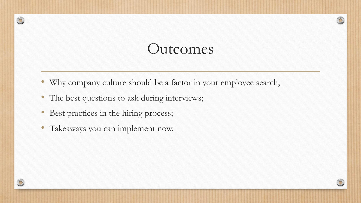#### Outcomes

- Why company culture should be a factor in your employee search;
- The best questions to ask during interviews;
- Best practices in the hiring process;
- Takeaways you can implement now.

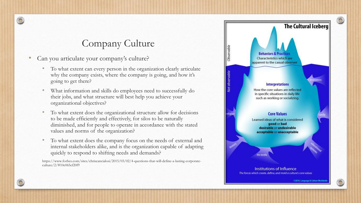#### Company Culture

- Can you articulate your company's culture?
	- To what extent can every person in the organization clearly articulate why the company exists, where the company is going, and how it's going to get there?
	- What information and skills do employees need to successfully do their jobs, and what structure will best help you achieve your organizational objectives?
	- To what extent does the organizational structure allow for decisions to be made efficiently and effectively, for silos to be naturally diminished, and for people to operate in accordance with the stated values and norms of the organization?
	- To what extent does the company focus on the needs of external and internal stakeholders alike, and is the organization capable of adapting quickly to respond to shifting needs and demands?

https://www.forbes.com/sites/chriscancialosi/2015/03/02/4-questions-that-will-define-a-lasting-corporateculture/2/#10c065ef20f9

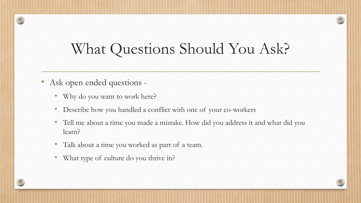#### What Questions Should You Ask?

- Ask open ended questions
	- Why do you want to work here?
	- Describe how you handled a conflict with one of your co-workers
	- Tell me about a time you made a mistake. How did you address it and what did you learn?
	- Talk about a time you worked as part of a team.
	- What type of culture do you thrive in?

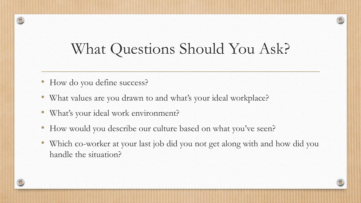### What Questions Should You Ask?

- How do you define success?
- What values are you drawn to and what's your ideal workplace?
- What's your ideal work environment?
- How would you describe our culture based on what you've seen?
- Which co-worker at your last job did you not get along with and how did you handle the situation?

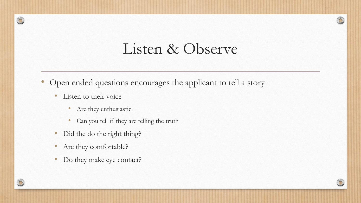#### Listen & Observe

- Open ended questions encourages the applicant to tell a story
	- Listen to their voice
		- Are they enthusiastic
		- Can you tell if they are telling the truth
	- Did the do the right thing?
	- Are they comfortable?
	- Do they make eye contact?

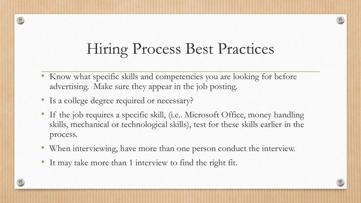# Hiring Process Best Practices

- Know what specific skills and competencies you are looking for before advertising. Make sure they appear in the job posting.
- Is a college degree required or necessary?
- If the job requires a specific skill, (i.e.. Microsoft Office, money handling skills, mechanical or technological skills), test for these skills earlier in the process.
- When interviewing, have more than one person conduct the interview.
- It may take more than 1 interview to find the right fit.